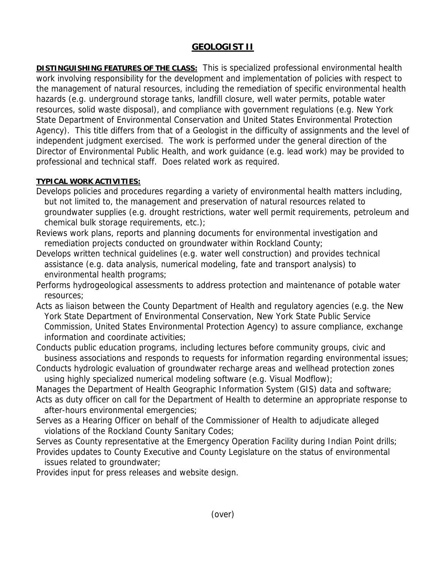# **GEOLOGIST II**

**DISTINGUISHING FEATURES OF THE CLASS:** This is specialized professional environmental health work involving responsibility for the development and implementation of policies with respect to the management of natural resources, including the remediation of specific environmental health hazards (e.g. underground storage tanks, landfill closure, well water permits, potable water resources, solid waste disposal), and compliance with government regulations (e.g. New York State Department of Environmental Conservation and United States Environmental Protection Agency). This title differs from that of a Geologist in the difficulty of assignments and the level of independent judgment exercised. The work is performed under the general direction of the Director of Environmental Public Health, and work guidance (e.g. lead work) may be provided to professional and technical staff. Does related work as required.

# **TYPICAL WORK ACTIVITIES:**

- Develops policies and procedures regarding a variety of environmental health matters including, but not limited to, the management and preservation of natural resources related to groundwater supplies (e.g. drought restrictions, water well permit requirements, petroleum and chemical bulk storage requirements, etc.);
- Reviews work plans, reports and planning documents for environmental investigation and remediation projects conducted on groundwater within Rockland County;
- Develops written technical guidelines (e.g. water well construction) and provides technical assistance (e.g. data analysis, numerical modeling, fate and transport analysis) to environmental health programs;
- Performs hydrogeological assessments to address protection and maintenance of potable water resources;
- Acts as liaison between the County Department of Health and regulatory agencies (e.g. the New York State Department of Environmental Conservation, New York State Public Service Commission, United States Environmental Protection Agency) to assure compliance, exchange information and coordinate activities;
- Conducts public education programs, including lectures before community groups, civic and business associations and responds to requests for information regarding environmental issues;
- Conducts hydrologic evaluation of groundwater recharge areas and wellhead protection zones using highly specialized numerical modeling software (e.g. Visual Modflow);
- Manages the Department of Health Geographic Information System (GIS) data and software; Acts as duty officer on call for the Department of Health to determine an appropriate response to
- after-hours environmental emergencies;
- Serves as a Hearing Officer on behalf of the Commissioner of Health to adjudicate alleged violations of the Rockland County Sanitary Codes;
- Serves as County representative at the Emergency Operation Facility during Indian Point drills; Provides updates to County Executive and County Legislature on the status of environmental issues related to groundwater;

Provides input for press releases and website design.